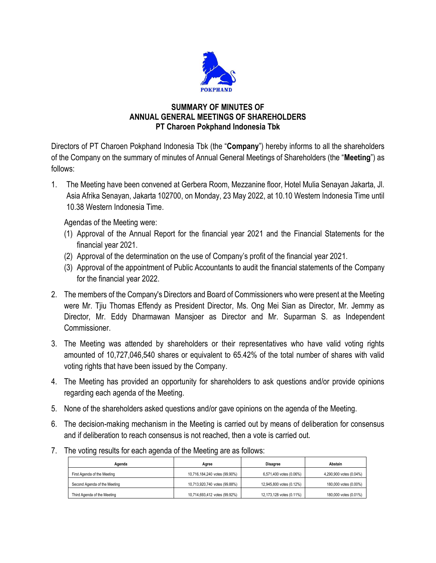

## **SUMMARY OF MINUTES OF ANNUAL GENERAL MEETINGS OF SHAREHOLDERS PT Charoen Pokphand Indonesia Tbk**

Directors of PT Charoen Pokphand Indonesia Tbk (the "**Company**") hereby informs to all the shareholders of the Company on the summary of minutes of Annual General Meetings of Shareholders (the "**Meeting**") as follows:

1. The Meeting have been convened at Gerbera Room, Mezzanine floor, Hotel Mulia Senayan Jakarta, Jl. Asia Afrika Senayan, Jakarta 102700, on Monday, 23 May 2022, at 10.10 Western Indonesia Time until 10.38 Western Indonesia Time.

Agendas of the Meeting were:

- (1) Approval of the Annual Report for the financial year 2021 and the Financial Statements for the financial year 2021.
- (2) Approval of the determination on the use of Company's profit of the financial year 2021.
- (3) Approval of the appointment of Public Accountants to audit the financial statements of the Company for the financial year 2022.
- 2. The members of the Company's Directors and Board of Commissioners who were present at the Meeting were Mr. Tjiu Thomas Effendy as President Director, Ms. Ong Mei Sian as Director, Mr. Jemmy as Director, Mr. Eddy Dharmawan Mansjoer as Director and Mr. Suparman S. as Independent Commissioner.
- 3. The Meeting was attended by shareholders or their representatives who have valid voting rights amounted of 10,727,046,540 shares or equivalent to 65.42% of the total number of shares with valid voting rights that have been issued by the Company.
- 4. The Meeting has provided an opportunity for shareholders to ask questions and/or provide opinions regarding each agenda of the Meeting.
- 5. None of the shareholders asked questions and/or gave opinions on the agenda of the Meeting.
- 6. The decision-making mechanism in the Meeting is carried out by means of deliberation for consensus and if deliberation to reach consensus is not reached, then a vote is carried out.
- 7. The voting results for each agenda of the Meeting are as follows:

| Agenda                       | Aaree                         | <b>Disagree</b>          | Abstain                 |
|------------------------------|-------------------------------|--------------------------|-------------------------|
| First Agenda of the Meeting  | 10,716,184,240 votes (99.90%) | 6,571,400 votes (0.06%)  | 4.290.900 votes (0.04%) |
| Second Agenda of the Meeting | 10.713.920.740 votes (99.88%) | 12.945.800 votes (0.12%) | 180,000 votes (0,00%)   |
| Third Agenda of the Meeting  | 10,714,693,412 votes (99.92%) | 12,173,128 votes (0.11%) | 180,000 votes (0.01%)   |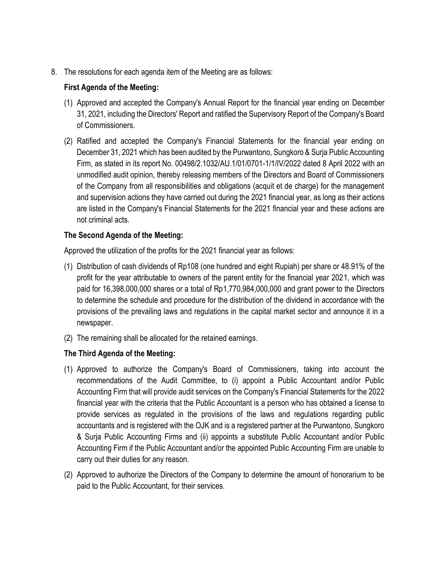8. The resolutions for each agenda item of the Meeting are as follows:

## **First Agenda of the Meeting:**

- (1) Approved and accepted the Company's Annual Report for the financial year ending on December 31, 2021, including the Directors' Report and ratified the Supervisory Report of the Company's Board of Commissioners.
- (2) Ratified and accepted the Company's Financial Statements for the financial year ending on December 31, 2021 which has been audited by the Purwantono, Sungkoro & Surja Public Accounting Firm, as stated in its report No. 00498/2.1032/AU.1/01/0701-1/1/IV/2022 dated 8 April 2022 with an unmodified audit opinion, thereby releasing members of the Directors and Board of Commissioners of the Company from all responsibilities and obligations (acquit et de charge) for the management and supervision actions they have carried out during the 2021 financial year, as long as their actions are listed in the Company's Financial Statements for the 2021 financial year and these actions are not criminal acts.

## **The Second Agenda of the Meeting:**

Approved the utilization of the profits for the 2021 financial year as follows:

- (1) Distribution of cash dividends of Rp108 (one hundred and eight Rupiah) per share or 48.91% of the profit for the year attributable to owners of the parent entity for the financial year 2021, which was paid for 16,398,000,000 shares or a total of Rp1,770,984,000,000 and grant power to the Directors to determine the schedule and procedure for the distribution of the dividend in accordance with the provisions of the prevailing laws and regulations in the capital market sector and announce it in a newspaper.
- (2) The remaining shall be allocated for the retained earnings.

## **The Third Agenda of the Meeting:**

- (1) Approved to authorize the Company's Board of Commissioners, taking into account the recommendations of the Audit Committee, to (i) appoint a Public Accountant and/or Public Accounting Firm that will provide audit services on the Company's Financial Statements for the 2022 financial year with the criteria that the Public Accountant is a person who has obtained a license to provide services as regulated in the provisions of the laws and regulations regarding public accountants and is registered with the OJK and is a registered partner at the Purwantono, Sungkoro & Surja Public Accounting Firms and (ii) appoints a substitute Public Accountant and/or Public Accounting Firm if the Public Accountant and/or the appointed Public Accounting Firm are unable to carry out their duties for any reason.
- (2) Approved to authorize the Directors of the Company to determine the amount of honorarium to be paid to the Public Accountant, for their services.